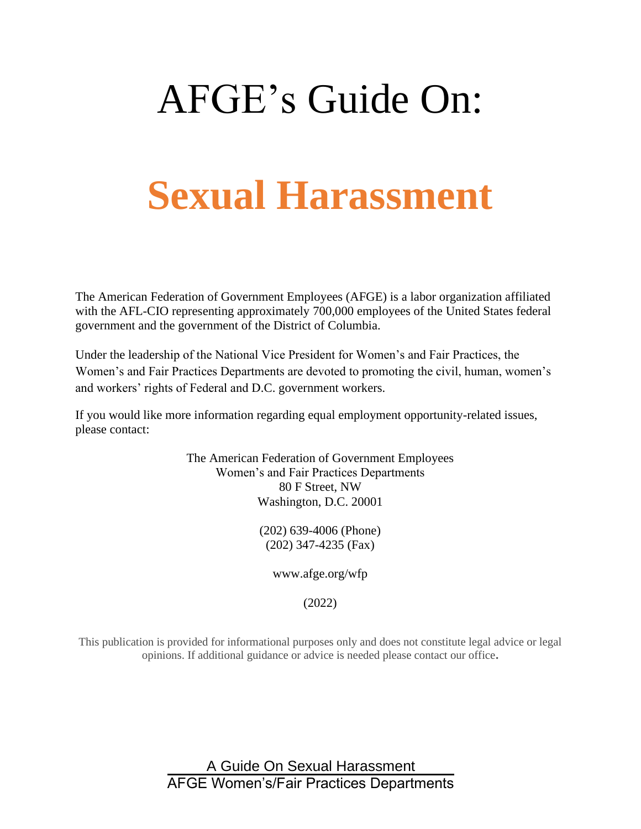# AFGE's Guide On:

# **Sexual Harassment**

The American Federation of Government Employees (AFGE) is a labor organization affiliated with the AFL-CIO representing approximately 700,000 employees of the United States federal government and the government of the District of Columbia.

Under the leadership of the National Vice President for Women's and Fair Practices, the Women's and Fair Practices Departments are devoted to promoting the civil, human, women's and workers' rights of Federal and D.C. government workers.

If you would like more information regarding equal employment opportunity-related issues, please contact:

> The American Federation of Government Employees Women's and Fair Practices Departments 80 F Street, NW Washington, D.C. 20001

> > (202) 639-4006 (Phone) (202) 347-4235 (Fax)

> > > www.afge.org/wfp

(2022)

This publication is provided for informational purposes only and does not constitute legal advice or legal opinions. If additional guidance or advice is needed please contact our office**.**

> A Guide On Sexual Harassment AFGE Women's/Fair Practices Departments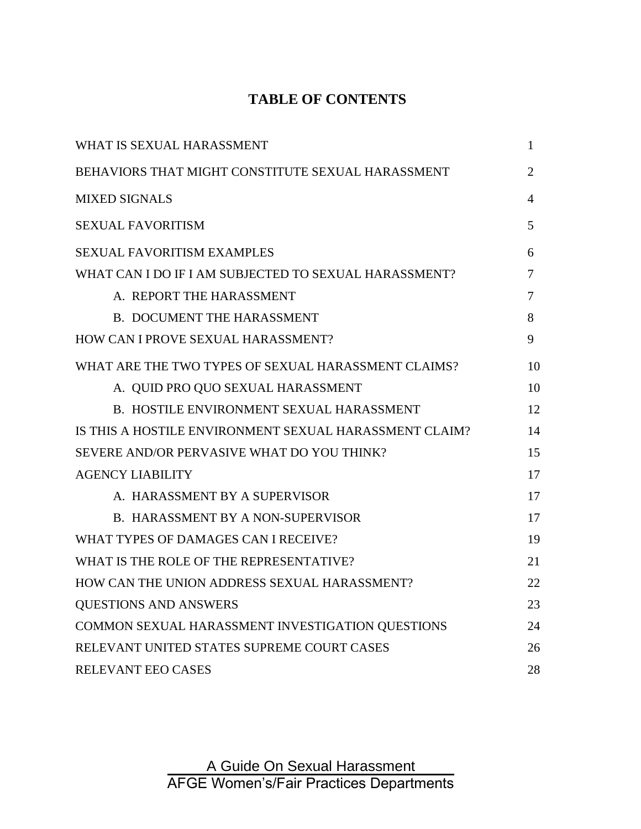### **TABLE OF CONTENTS**

| WHAT IS SEXUAL HARASSMENT                              | 1              |
|--------------------------------------------------------|----------------|
| BEHAVIORS THAT MIGHT CONSTITUTE SEXUAL HARASSMENT      | $\overline{2}$ |
| <b>MIXED SIGNALS</b>                                   | 4              |
| <b>SEXUAL FAVORITISM</b>                               | 5              |
| <b>SEXUAL FAVORITISM EXAMPLES</b>                      | 6              |
| WHAT CAN I DO IF I AM SUBJECTED TO SEXUAL HARASSMENT?  | 7              |
| A. REPORT THE HARASSMENT                               | 7              |
| <b>B. DOCUMENT THE HARASSMENT</b>                      | 8              |
| HOW CAN I PROVE SEXUAL HARASSMENT?                     | 9              |
| WHAT ARE THE TWO TYPES OF SEXUAL HARASSMENT CLAIMS?    | 10             |
| A. QUID PRO QUO SEXUAL HARASSMENT                      | 10             |
| <b>B. HOSTILE ENVIRONMENT SEXUAL HARASSMENT</b>        | 12             |
| IS THIS A HOSTILE ENVIRONMENT SEXUAL HARASSMENT CLAIM? | 14             |
| SEVERE AND/OR PERVASIVE WHAT DO YOU THINK?             | 15             |
| <b>AGENCY LIABILITY</b>                                | 17             |
| A. HARASSMENT BY A SUPERVISOR                          | 17             |
| <b>B. HARASSMENT BY A NON-SUPERVISOR</b>               | 17             |
| WHAT TYPES OF DAMAGES CAN I RECEIVE?                   | 19             |
| WHAT IS THE ROLE OF THE REPRESENTATIVE?                | 21             |
| HOW CAN THE UNION ADDRESS SEXUAL HARASSMENT?           | 22             |
| <b>QUESTIONS AND ANSWERS</b>                           | 23             |
| COMMON SEXUAL HARASSMENT INVESTIGATION QUESTIONS       | 24             |
| RELEVANT UNITED STATES SUPREME COURT CASES             | 26             |
| RELEVANT EEO CASES                                     | 28             |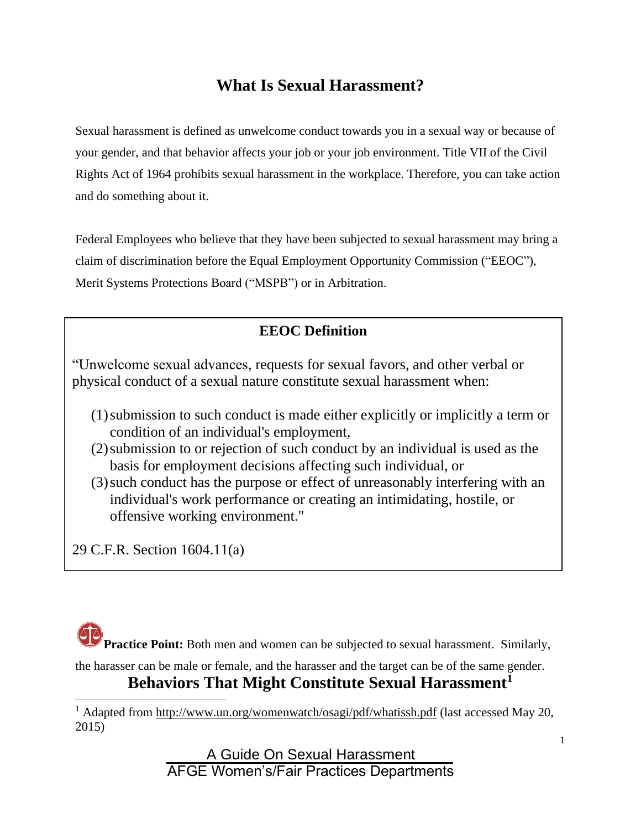# **What Is Sexual Harassment?**

Sexual harassment is defined as unwelcome conduct towards you in a sexual way or because of your gender, and that behavior affects your job or your job environment. Title VII of the Civil Rights Act of 1964 prohibits sexual harassment in the workplace. Therefore, you can take action and do something about it.

Federal Employees who believe that they have been subjected to sexual harassment may bring a claim of discrimination before the Equal Employment Opportunity Commission ("EEOC"), Merit Systems Protections Board ("MSPB") or in Arbitration.

### **EEOC Definition**

"Unwelcome sexual advances, requests for sexual favors, and other verbal or physical conduct of a sexual nature constitute sexual harassment when:

- (1)submission to such conduct is made either explicitly or implicitly a term or condition of an individual's employment,
- (2)submission to or rejection of such conduct by an individual is used as the basis for employment decisions affecting such individual, or
- (3)such conduct has the purpose or effect of unreasonably interfering with an individual's work performance or creating an intimidating, hostile, or offensive working environment."

29 C.F.R. Section 1604.11(a)



the harasser can be male or female, and the harasser and the target can be of the same gender.

# **Behaviors That Might Constitute Sexual Harassment<sup>1</sup>**

<sup>1</sup> Adapted from<http://www.un.org/womenwatch/osagi/pdf/whatissh.pdf> (last accessed May 20, 2015)

> A Guide On Sexual Harassment AFGE Women's/Fair Practices Departments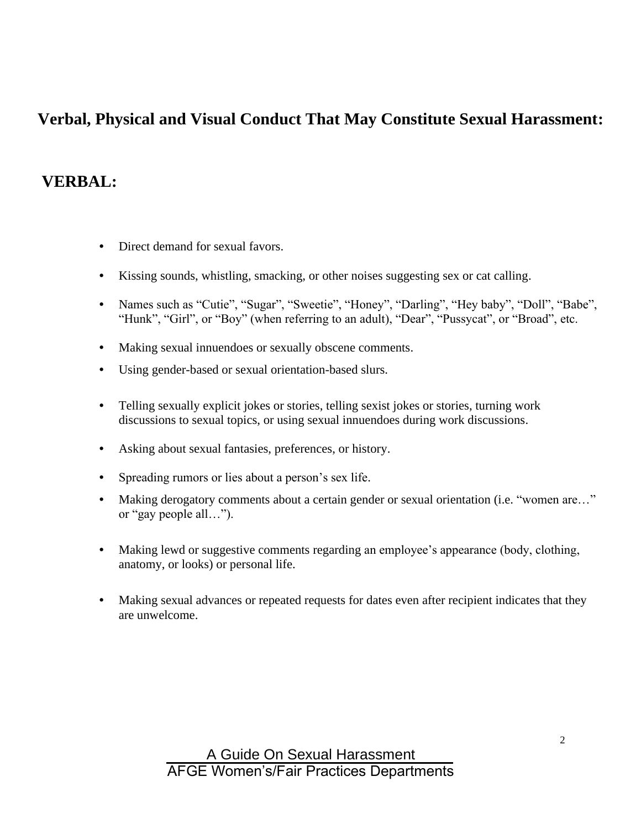# **Verbal, Physical and Visual Conduct That May Constitute Sexual Harassment:**

### **VERBAL:**

- Direct demand for sexual favors.
- Kissing sounds, whistling, smacking, or other noises suggesting sex or cat calling.
- Names such as "Cutie", "Sugar", "Sweetie", "Honey", "Darling", "Hey baby", "Doll", "Babe", "Hunk", "Girl", or "Boy" (when referring to an adult), "Dear", "Pussycat", or "Broad", etc.
- Making sexual innuendoes or sexually obscene comments.
- Using gender-based or sexual orientation-based slurs.
- Telling sexually explicit jokes or stories, telling sexist jokes or stories, turning work discussions to sexual topics, or using sexual innuendoes during work discussions.
- Asking about sexual fantasies, preferences, or history.
- Spreading rumors or lies about a person's sex life.
- Making derogatory comments about a certain gender or sexual orientation (i.e. "women are..." or "gay people all…").
- Making lewd or suggestive comments regarding an employee's appearance (body, clothing, anatomy, or looks) or personal life.
- Making sexual advances or repeated requests for dates even after recipient indicates that they are unwelcome.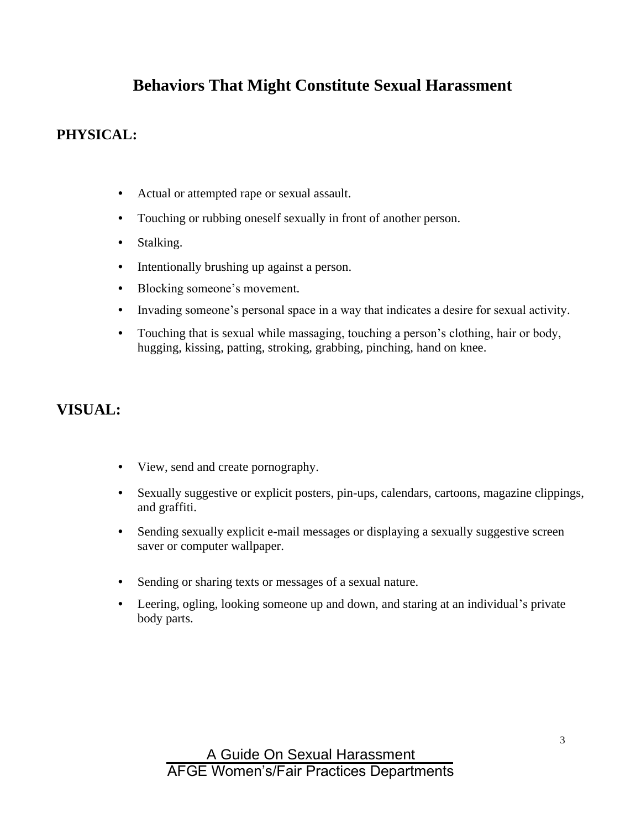# **Behaviors That Might Constitute Sexual Harassment**

### **PHYSICAL:**

- Actual or attempted rape or sexual assault.
- Touching or rubbing oneself sexually in front of another person.
- Stalking.
- Intentionally brushing up against a person.
- Blocking someone's movement.
- Invading someone's personal space in a way that indicates a desire for sexual activity.
- Touching that is sexual while massaging, touching a person's clothing, hair or body, hugging, kissing, patting, stroking, grabbing, pinching, hand on knee.

### **VISUAL:**

- View, send and create pornography.
- Sexually suggestive or explicit posters, pin-ups, calendars, cartoons, magazine clippings, and graffiti.
- Sending sexually explicit e-mail messages or displaying a sexually suggestive screen saver or computer wallpaper.
- Sending or sharing texts or messages of a sexual nature.
- Leering, ogling, looking someone up and down, and staring at an individual's private body parts.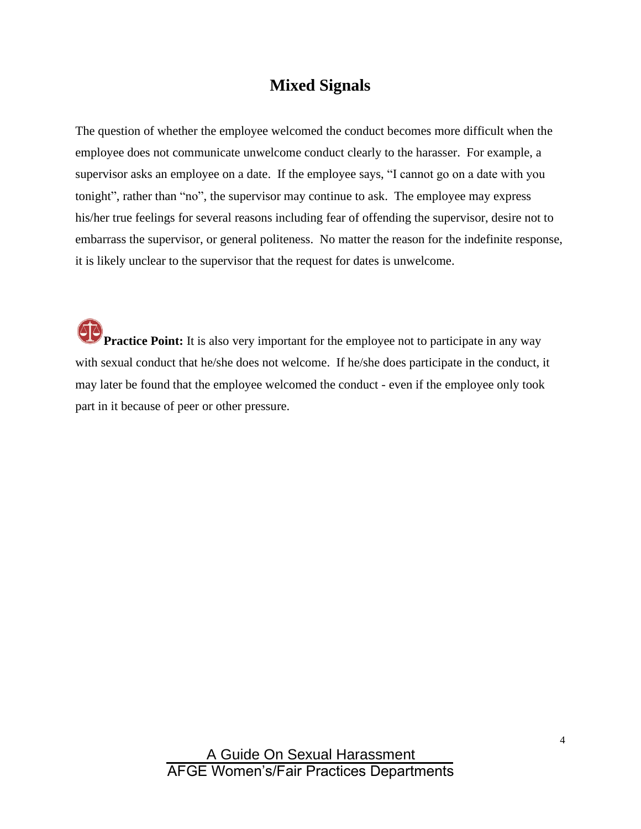### **Mixed Signals**

The question of whether the employee welcomed the conduct becomes more difficult when the employee does not communicate unwelcome conduct clearly to the harasser. For example, a supervisor asks an employee on a date. If the employee says, "I cannot go on a date with you tonight", rather than "no", the supervisor may continue to ask. The employee may express his/her true feelings for several reasons including fear of offending the supervisor, desire not to embarrass the supervisor, or general politeness. No matter the reason for the indefinite response, it is likely unclear to the supervisor that the request for dates is unwelcome.

**Practice Point:** It is also very important for the employee not to participate in any way with sexual conduct that he/she does not welcome. If he/she does participate in the conduct, it may later be found that the employee welcomed the conduct - even if the employee only took part in it because of peer or other pressure.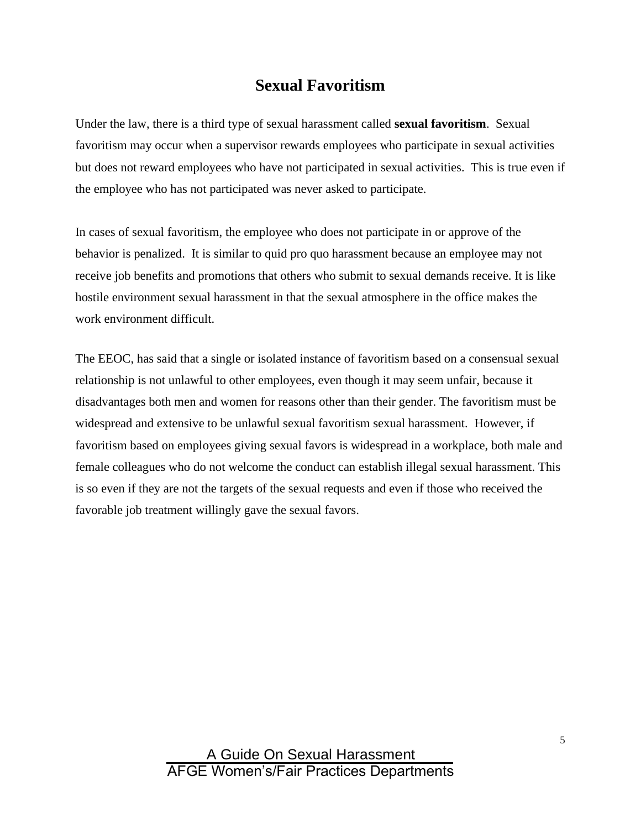### **Sexual Favoritism**

Under the law, there is a third type of sexual harassment called **sexual favoritism**. Sexual favoritism may occur when a supervisor rewards employees who participate in sexual activities but does not reward employees who have not participated in sexual activities. This is true even if the employee who has not participated was never asked to participate.

In cases of sexual favoritism, the employee who does not participate in or approve of the behavior is penalized. It is similar to quid pro quo harassment because an employee may not receive job benefits and promotions that others who submit to sexual demands receive. It is like hostile environment sexual harassment in that the sexual atmosphere in the office makes the work environment difficult.

The EEOC, has said that a single or isolated instance of favoritism based on a consensual sexual relationship is not unlawful to other employees, even though it may seem unfair, because it disadvantages both men and women for reasons other than their gender. The favoritism must be widespread and extensive to be unlawful sexual favoritism sexual harassment. However, if favoritism based on employees giving sexual favors is widespread in a workplace, both male and female colleagues who do not welcome the conduct can establish illegal sexual harassment. This is so even if they are not the targets of the sexual requests and even if those who received the favorable job treatment willingly gave the sexual favors.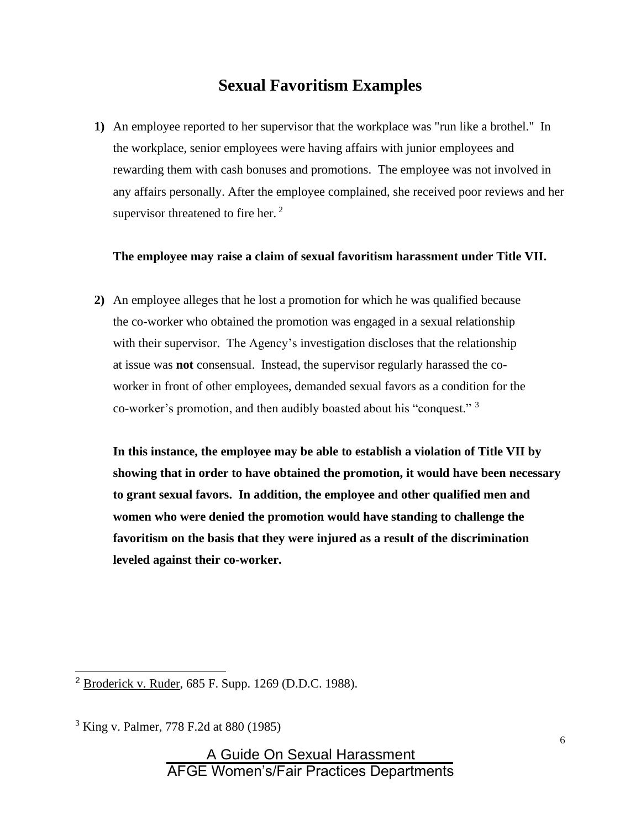### **Sexual Favoritism Examples**

**1)** An employee reported to her supervisor that the workplace was "run like a brothel." In the workplace, senior employees were having affairs with junior employees and rewarding them with cash bonuses and promotions. The employee was not involved in any affairs personally. After the employee complained, she received poor reviews and her supervisor threatened to fire her.  $2^2$ 

### **The employee may raise a claim of sexual favoritism harassment under Title VII.**

**2)** An employee alleges that he lost a promotion for which he was qualified because the co-worker who obtained the promotion was engaged in a sexual relationship with their supervisor. The Agency's investigation discloses that the relationship at issue was **not** consensual. Instead, the supervisor regularly harassed the coworker in front of other employees, demanded sexual favors as a condition for the co-worker's promotion, and then audibly boasted about his "conquest." <sup>3</sup>

**In this instance, the employee may be able to establish a violation of Title VII by showing that in order to have obtained the promotion, it would have been necessary to grant sexual favors. In addition, the employee and other qualified men and women who were denied the promotion would have standing to challenge the favoritism on the basis that they were injured as a result of the discrimination leveled against their co-worker.** 

<sup>2</sup> Broderick v. Ruder, 685 F. Supp. 1269 (D.D.C. 1988).

<sup>3</sup> King v. Palmer, 778 F.2d at 880 (1985)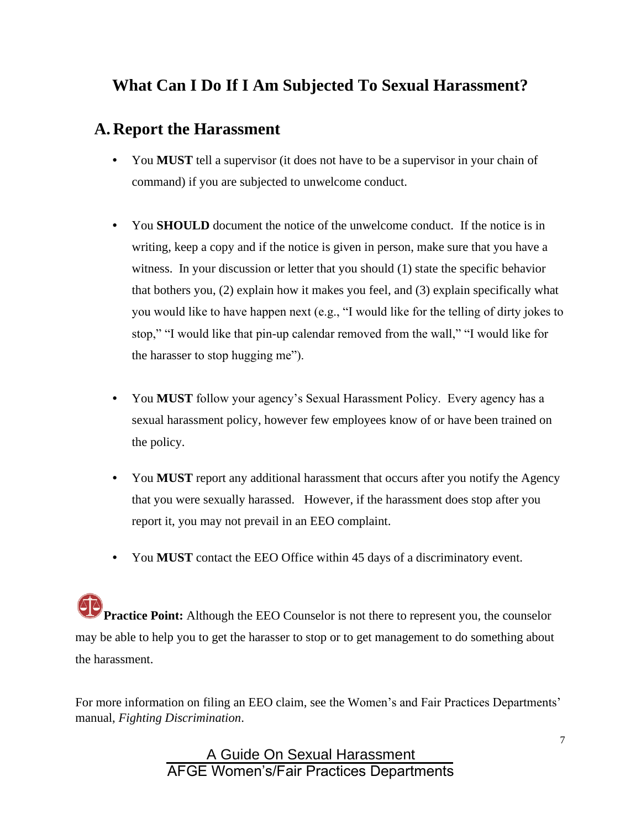# **What Can I Do If I Am Subjected To Sexual Harassment?**

# **A. Report the Harassment**

- You **MUST** tell a supervisor (it does not have to be a supervisor in your chain of command) if you are subjected to unwelcome conduct.
- You **SHOULD** document the notice of the unwelcome conduct. If the notice is in writing, keep a copy and if the notice is given in person, make sure that you have a witness. In your discussion or letter that you should (1) state the specific behavior that bothers you, (2) explain how it makes you feel, and (3) explain specifically what you would like to have happen next (e.g., "I would like for the telling of dirty jokes to stop," "I would like that pin-up calendar removed from the wall," "I would like for the harasser to stop hugging me").
- You **MUST** follow your agency's Sexual Harassment Policy. Every agency has a sexual harassment policy, however few employees know of or have been trained on the policy.
- You **MUST** report any additional harassment that occurs after you notify the Agency that you were sexually harassed. However, if the harassment does stop after you report it, you may not prevail in an EEO complaint.
- You **MUST** contact the EEO Office within 45 days of a discriminatory event.

**Practice Point:** Although the EEO Counselor is not there to represent you, the counselor may be able to help you to get the harasser to stop or to get management to do something about the harassment.

For more information on filing an EEO claim, see the Women's and Fair Practices Departments' manual, *Fighting Discrimination*.

> A Guide On Sexual Harassment AFGE Women's/Fair Practices Departments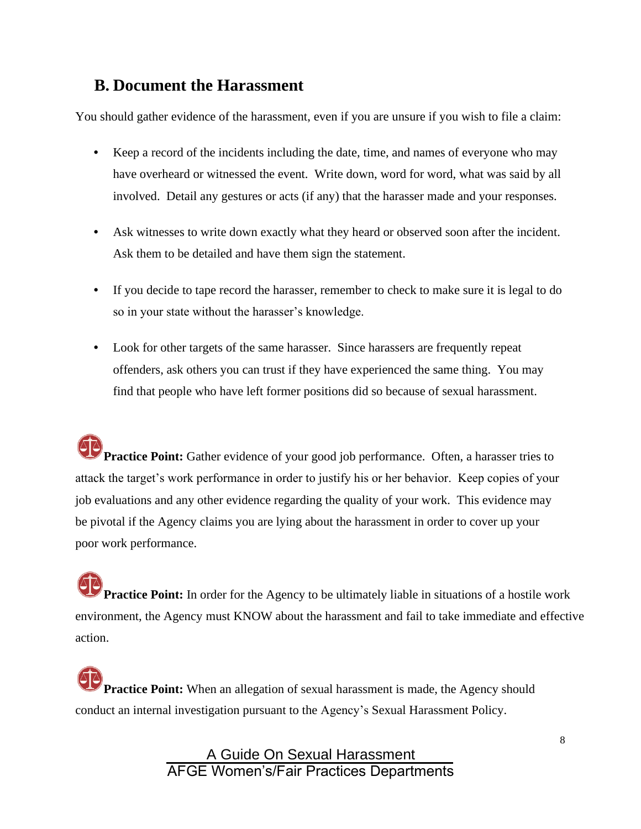### **B. Document the Harassment**

You should gather evidence of the harassment, even if you are unsure if you wish to file a claim:

- Keep a record of the incidents including the date, time, and names of everyone who may have overheard or witnessed the event. Write down, word for word, what was said by all involved. Detail any gestures or acts (if any) that the harasser made and your responses.
- Ask witnesses to write down exactly what they heard or observed soon after the incident. Ask them to be detailed and have them sign the statement.
- If you decide to tape record the harasser, remember to check to make sure it is legal to do so in your state without the harasser's knowledge.
- Look for other targets of the same harasser. Since harassers are frequently repeat offenders, ask others you can trust if they have experienced the same thing. You may find that people who have left former positions did so because of sexual harassment.

**Practice Point:** Gather evidence of your good job performance. Often, a harasser tries to attack the target's work performance in order to justify his or her behavior. Keep copies of your job evaluations and any other evidence regarding the quality of your work. This evidence may be pivotal if the Agency claims you are lying about the harassment in order to cover up your poor work performance.

**Practice Point:** In order for the Agency to be ultimately liable in situations of a hostile work environment, the Agency must KNOW about the harassment and fail to take immediate and effective action.

**Practice Point:** When an allegation of sexual harassment is made, the Agency should conduct an internal investigation pursuant to the Agency's Sexual Harassment Policy.

> A Guide On Sexual Harassment AFGE Women's/Fair Practices Departments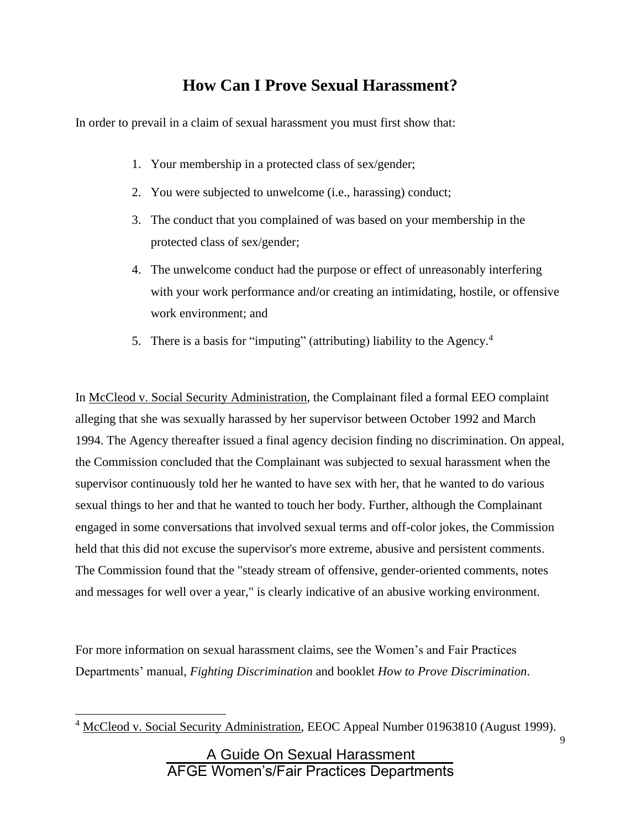# **How Can I Prove Sexual Harassment?**

In order to prevail in a claim of sexual harassment you must first show that:

- 1. Your membership in a protected class of sex/gender;
- 2. You were subjected to unwelcome (i.e., harassing) conduct;
- 3. The conduct that you complained of was based on your membership in the protected class of sex/gender;
- 4. The unwelcome conduct had the purpose or effect of unreasonably interfering with your work performance and/or creating an intimidating, hostile, or offensive work environment; and
- 5. There is a basis for "imputing" (attributing) liability to the Agency.<sup>4</sup>

In McCleod v. Social Security Administration, the Complainant filed a formal EEO complaint alleging that she was sexually harassed by her supervisor between October 1992 and March 1994. The Agency thereafter issued a final agency decision finding no discrimination. On appeal, the Commission concluded that the Complainant was subjected to sexual harassment when the supervisor continuously told her he wanted to have sex with her, that he wanted to do various sexual things to her and that he wanted to touch her body. Further, although the Complainant engaged in some conversations that involved sexual terms and off-color jokes, the Commission held that this did not excuse the supervisor's more extreme, abusive and persistent comments. The Commission found that the "steady stream of offensive, gender-oriented comments, notes and messages for well over a year," is clearly indicative of an abusive working environment.

For more information on sexual harassment claims, see the Women's and Fair Practices Departments' manual, *Fighting Discrimination* and booklet *How to Prove Discrimination*.

<sup>&</sup>lt;sup>4</sup> McCleod v. Social Security Administration, EEOC Appeal Number 01963810 (August 1999).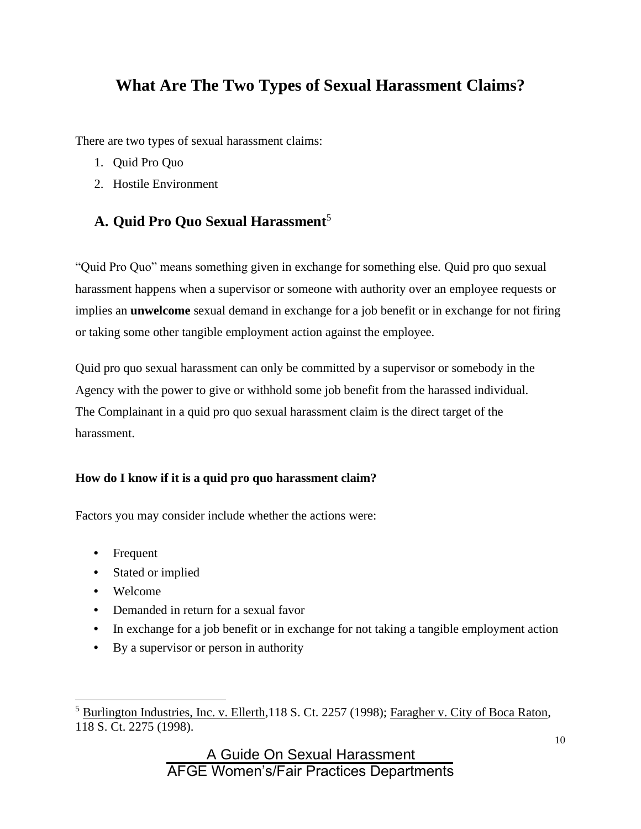# **What Are The Two Types of Sexual Harassment Claims?**

There are two types of sexual harassment claims:

- 1. Quid Pro Quo
- 2. Hostile Environment

### **A. Quid Pro Quo Sexual Harassment**<sup>5</sup>

"Quid Pro Quo" means something given in exchange for something else*.* Quid pro quo sexual harassment happens when a supervisor or someone with authority over an employee requests or implies an **unwelcome** sexual demand in exchange for a job benefit or in exchange for not firing or taking some other tangible employment action against the employee.

Quid pro quo sexual harassment can only be committed by a supervisor or somebody in the Agency with the power to give or withhold some job benefit from the harassed individual. The Complainant in a quid pro quo sexual harassment claim is the direct target of the harassment.

### **How do I know if it is a quid pro quo harassment claim?**

Factors you may consider include whether the actions were:

- Frequent
- Stated or implied
- Welcome
- Demanded in return for a sexual favor
- In exchange for a job benefit or in exchange for not taking a tangible employment action
- By a supervisor or person in authority

<sup>&</sup>lt;sup>5</sup> Burlington Industries, Inc. v. Ellerth,118 S. Ct. 2257 (1998); Faragher v. City of Boca Raton, 118 S. Ct. 2275 (1998).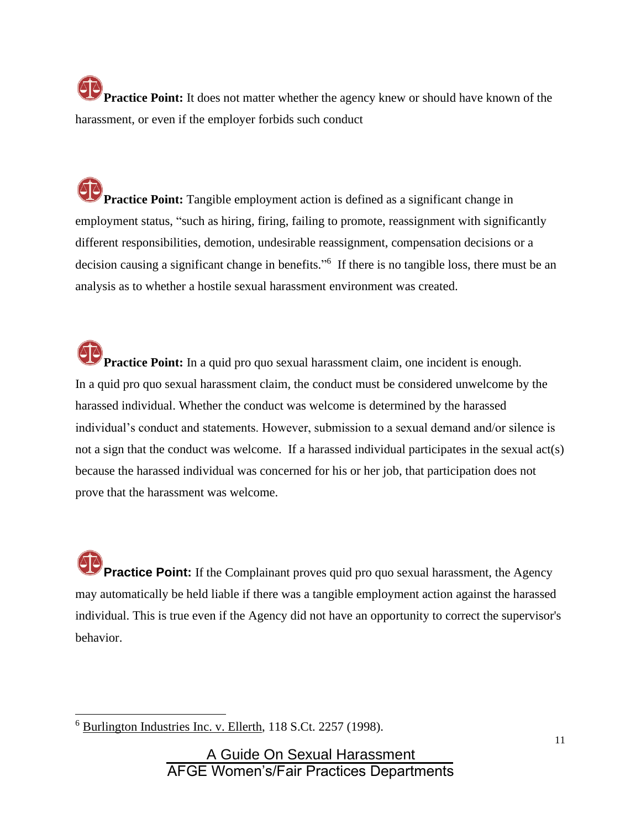**Practice Point:** It does not matter whether the agency knew or should have known of the harassment, or even if the employer forbids such conduct

**Practice Point:** Tangible employment action is defined as a significant change in employment status, "such as hiring, firing, failing to promote, reassignment with significantly different responsibilities, demotion, undesirable reassignment, compensation decisions or a decision causing a significant change in benefits."<sup>6</sup> If there is no tangible loss, there must be an analysis as to whether a hostile sexual harassment environment was created.

**Practice Point:** In a quid pro quo sexual harassment claim, one incident is enough. In a quid pro quo sexual harassment claim, the conduct must be considered unwelcome by the harassed individual. Whether the conduct was welcome is determined by the harassed individual's conduct and statements. However, submission to a sexual demand and/or silence is not a sign that the conduct was welcome. If a harassed individual participates in the sexual act(s) because the harassed individual was concerned for his or her job, that participation does not prove that the harassment was welcome.

**Practice Point:** If the Complainant proves quid pro quo sexual harassment, the Agency may automatically be held liable if there was a tangible employment action against the harassed individual. This is true even if the Agency did not have an opportunity to correct the supervisor's behavior.

<sup>6</sup> Burlington Industries Inc. v. Ellerth, 118 S.Ct. 2257 (1998).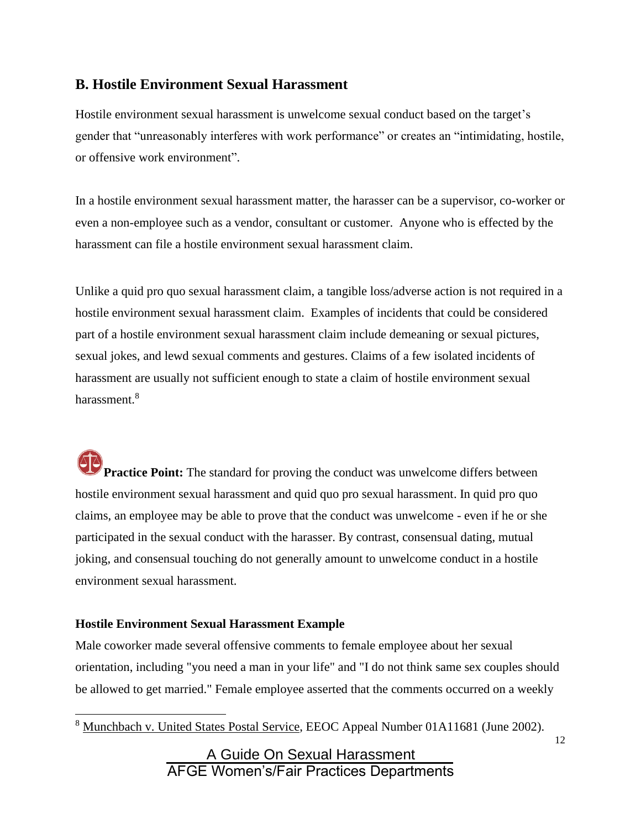### **B. Hostile Environment Sexual Harassment**

Hostile environment sexual harassment is unwelcome sexual conduct based on the target's gender that "unreasonably interferes with work performance" or creates an "intimidating, hostile, or offensive work environment".

In a hostile environment sexual harassment matter, the harasser can be a supervisor, co-worker or even a non-employee such as a vendor, consultant or customer. Anyone who is effected by the harassment can file a hostile environment sexual harassment claim.

Unlike a quid pro quo sexual harassment claim, a tangible loss/adverse action is not required in a hostile environment sexual harassment claim. Examples of incidents that could be considered part of a hostile environment sexual harassment claim include demeaning or sexual pictures, sexual jokes, and lewd sexual comments and gestures. Claims of a few isolated incidents of harassment are usually not sufficient enough to state a claim of hostile environment sexual harassment.<sup>8</sup>

**Practice Point:** The standard for proving the conduct was unwelcome differs between hostile environment sexual harassment and quid quo pro sexual harassment. In quid pro quo claims, an employee may be able to prove that the conduct was unwelcome - even if he or she participated in the sexual conduct with the harasser. By contrast, consensual dating, mutual joking, and consensual touching do not generally amount to unwelcome conduct in a hostile environment sexual harassment.

### **Hostile Environment Sexual Harassment Example**

Male coworker made several offensive comments to female employee about her sexual orientation, including "you need a man in your life" and "I do not think same sex couples should be allowed to get married." Female employee asserted that the comments occurred on a weekly

<sup>8</sup> Munchbach v. United States Postal Service, EEOC Appeal Number 01A11681 (June 2002).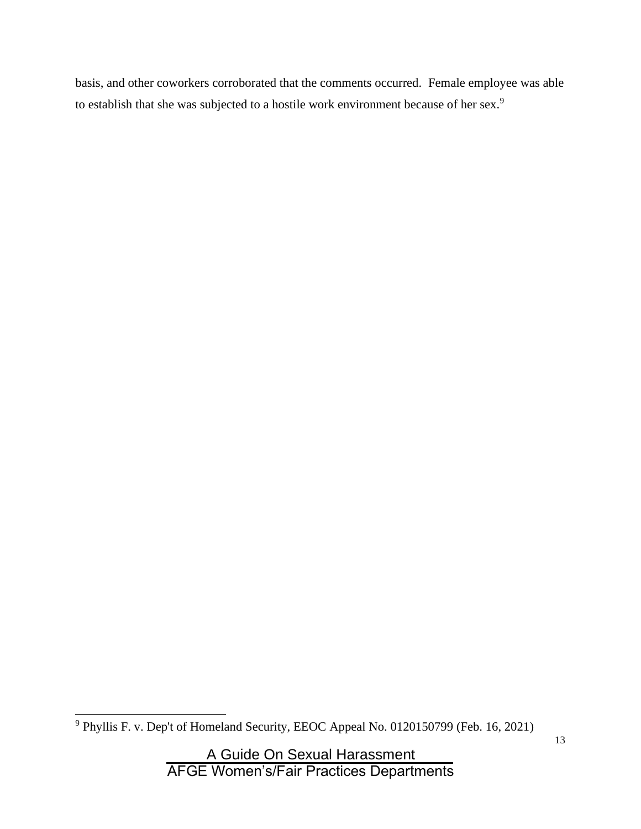basis, and other coworkers corroborated that the comments occurred. Female employee was able to establish that she was subjected to a hostile work environment because of her sex.<sup>9</sup>

<sup>9</sup> Phyllis F. v. Dep't of Homeland Security, EEOC Appeal No. 0120150799 (Feb. 16, 2021)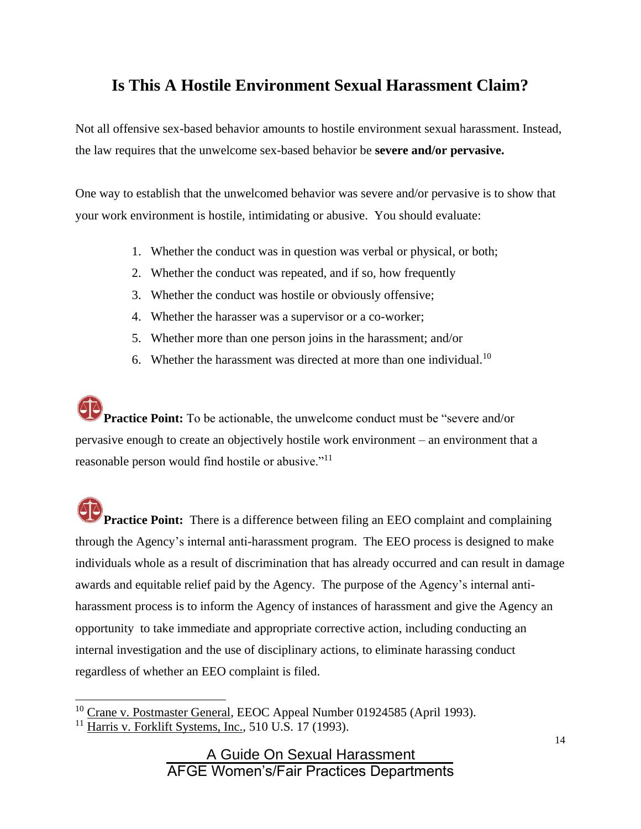## **Is This A Hostile Environment Sexual Harassment Claim?**

Not all offensive sex-based behavior amounts to hostile environment sexual harassment. Instead, the law requires that the unwelcome sex-based behavior be **severe and/or pervasive.**

One way to establish that the unwelcomed behavior was severe and/or pervasive is to show that your work environment is hostile, intimidating or abusive. You should evaluate:

- 1. Whether the conduct was in question was verbal or physical, or both;
- 2. Whether the conduct was repeated, and if so, how frequently
- 3. Whether the conduct was hostile or obviously offensive;
- 4. Whether the harasser was a supervisor or a co-worker;
- 5. Whether more than one person joins in the harassment; and/or
- 6. Whether the harassment was directed at more than one individual.<sup>10</sup>

**Practice Point:** To be actionable, the unwelcome conduct must be "severe and/or pervasive enough to create an objectively hostile work environment – an environment that a reasonable person would find hostile or abusive."<sup>11</sup>

**Practice Point:** There is a difference between filing an EEO complaint and complaining through the Agency's internal anti-harassment program. The EEO process is designed to make individuals whole as a result of discrimination that has already occurred and can result in damage awards and equitable relief paid by the Agency. The purpose of the Agency's internal antiharassment process is to inform the Agency of instances of harassment and give the Agency an opportunity to take immediate and appropriate corrective action, including conducting an internal investigation and the use of disciplinary actions, to eliminate harassing conduct regardless of whether an EEO complaint is filed.

<sup>&</sup>lt;sup>10</sup> Crane v. Postmaster General, EEOC Appeal Number 01924585 (April 1993).

<sup>&</sup>lt;sup>11</sup> Harris v. Forklift Systems, Inc., 510 U.S. 17 (1993).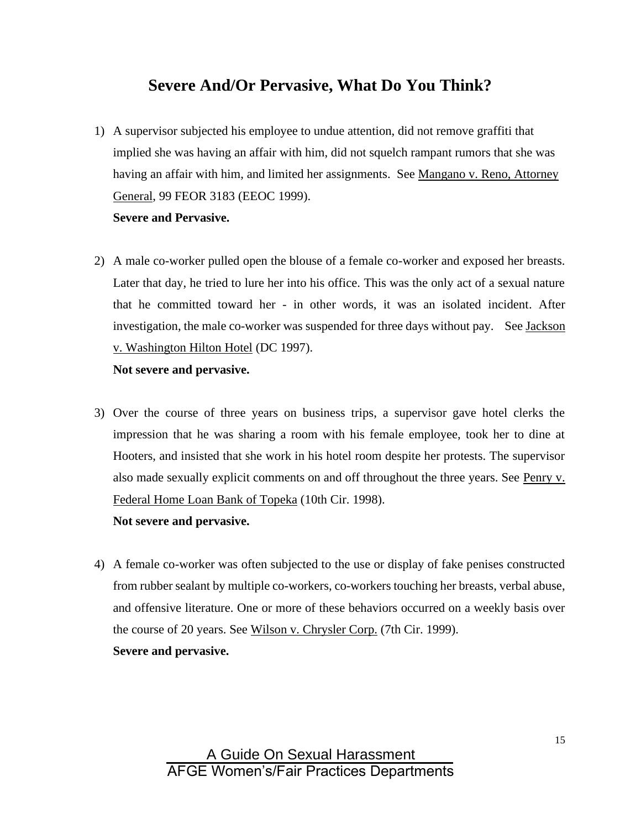### **Severe And/Or Pervasive, What Do You Think?**

1) A supervisor subjected his employee to undue attention, did not remove graffiti that implied she was having an affair with him, did not squelch rampant rumors that she was having an affair with him, and limited her assignments. See Mangano v. Reno, Attorney General, 99 FEOR 3183 (EEOC 1999).

### **Severe and Pervasive.**

2) A male co-worker pulled open the blouse of a female co-worker and exposed her breasts. Later that day, he tried to lure her into his office. This was the only act of a sexual nature that he committed toward her - in other words, it was an isolated incident. After investigation, the male co-worker was suspended for three days without pay. See Jackson v. Washington Hilton Hotel (DC 1997).

#### **Not severe and pervasive.**

3) Over the course of three years on business trips, a supervisor gave hotel clerks the impression that he was sharing a room with his female employee, took her to dine at Hooters, and insisted that she work in his hotel room despite her protests. The supervisor also made sexually explicit comments on and off throughout the three years. See Penry v. Federal Home Loan Bank of Topeka (10th Cir. 1998).

### **Not severe and pervasive.**

4) A female co-worker was often subjected to the use or display of fake penises constructed from rubber sealant by multiple co-workers, co-workers touching her breasts, verbal abuse, and offensive literature. One or more of these behaviors occurred on a weekly basis over the course of 20 years. See Wilson v. Chrysler Corp. (7th Cir. 1999). **Severe and pervasive.**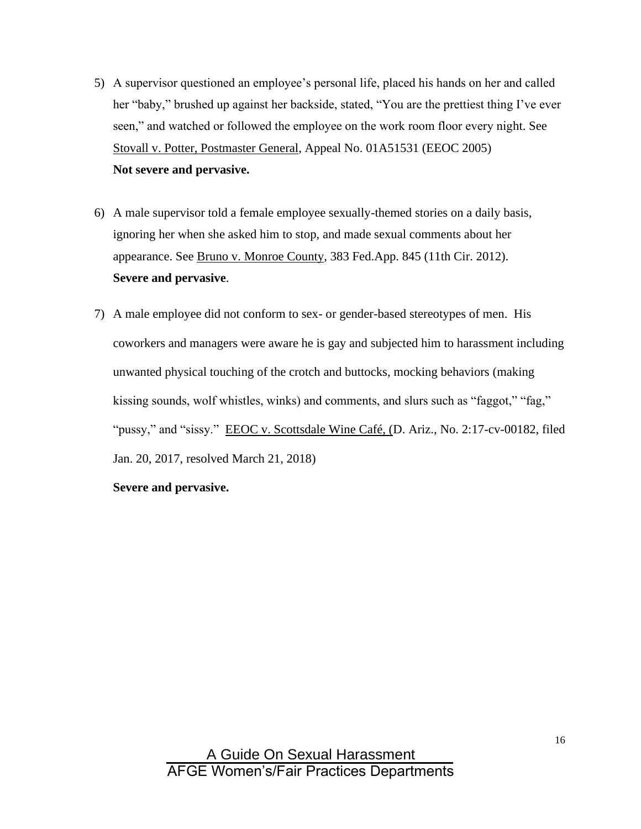- 5) A supervisor questioned an employee's personal life, placed his hands on her and called her "baby," brushed up against her backside, stated, "You are the prettiest thing I've ever seen," and watched or followed the employee on the work room floor every night. See Stovall v. Potter, Postmaster General, Appeal No. 01A51531 (EEOC 2005) **Not severe and pervasive.**
- 6) A male supervisor told a female employee sexually-themed stories on a daily basis, ignoring her when she asked him to stop, and made sexual comments about her appearance. See Bruno v. Monroe County, 383 Fed.App. 845 (11th Cir. 2012). **Severe and pervasive**.
- 7) A male employee did not conform to sex- or gender-based stereotypes of men. His coworkers and managers were aware he is gay and subjected him to harassment including unwanted physical touching of the crotch and buttocks, mocking behaviors (making kissing sounds, wolf whistles, winks) and comments, and slurs such as "faggot," "fag," "pussy," and "sissy." EEOC v. Scottsdale Wine Café, (D. Ariz., No. 2:17-cv-00182, filed Jan. 20, 2017, resolved March 21, 2018)

#### **Severe and pervasive.**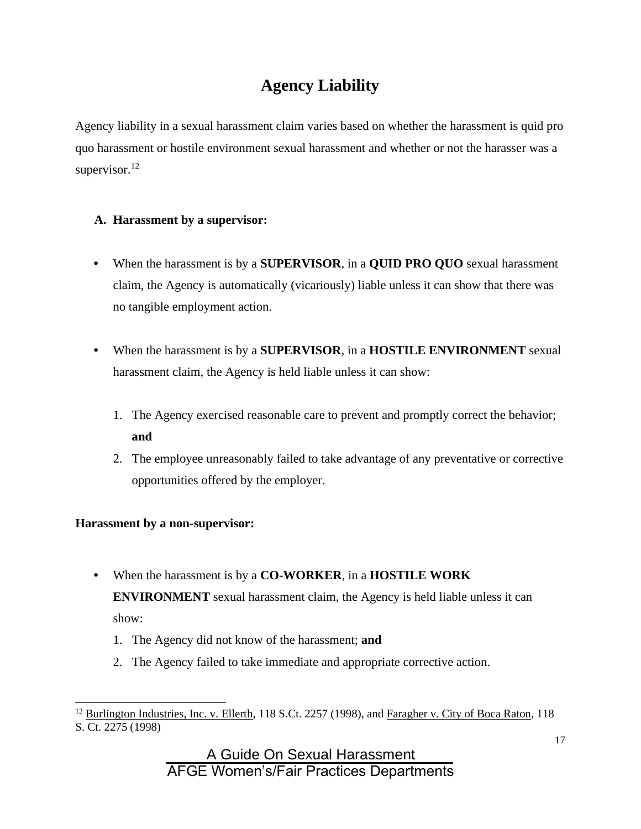# **Agency Liability**

Agency liability in a sexual harassment claim varies based on whether the harassment is quid pro quo harassment or hostile environment sexual harassment and whether or not the harasser was a supervisor.<sup>12</sup>

### **A. Harassment by a supervisor:**

- When the harassment is by a **SUPERVISOR**, in a **QUID PRO QUO** sexual harassment claim, the Agency is automatically (vicariously) liable unless it can show that there was no tangible employment action.
- When the harassment is by a **SUPERVISOR**, in a **HOSTILE ENVIRONMENT** sexual harassment claim, the Agency is held liable unless it can show:
	- 1. The Agency exercised reasonable care to prevent and promptly correct the behavior; **and**
	- 2. The employee unreasonably failed to take advantage of any preventative or corrective opportunities offered by the employer.

### **Harassment by a non-supervisor:**

- When the harassment is by a **CO-WORKER**, in a **HOSTILE WORK ENVIRONMENT** sexual harassment claim, the Agency is held liable unless it can show:
	- 1. The Agency did not know of the harassment; **and**
	- 2. The Agency failed to take immediate and appropriate corrective action.

<sup>&</sup>lt;sup>12</sup> Burlington Industries, Inc. v. Ellerth, 118 S.Ct. 2257 (1998), and Faragher v. City of Boca Raton, 118 S. Ct. 2275 (1998)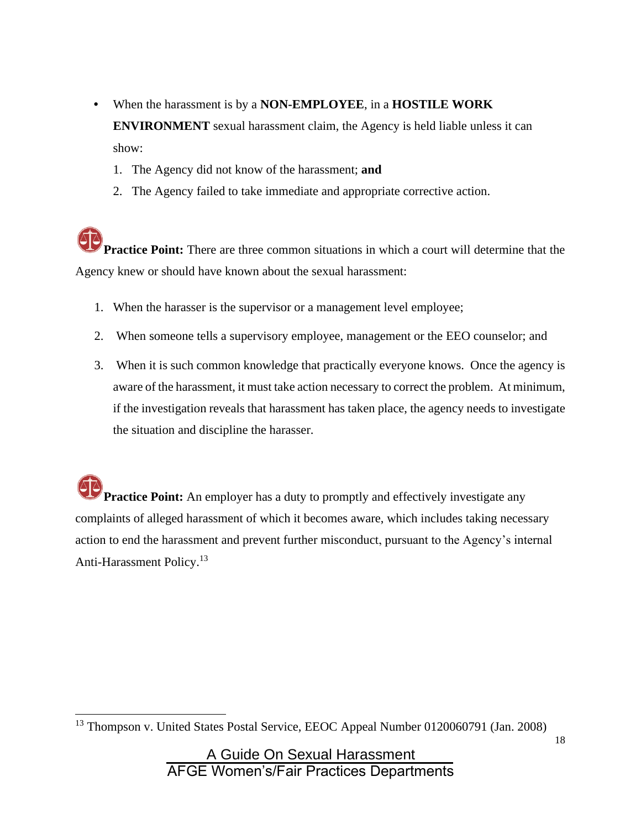- When the harassment is by a **NON-EMPLOYEE**, in a **HOSTILE WORK ENVIRONMENT** sexual harassment claim, the Agency is held liable unless it can show:
	- 1. The Agency did not know of the harassment; **and**
	- 2. The Agency failed to take immediate and appropriate corrective action.

**Practice Point:** There are three common situations in which a court will determine that the Agency knew or should have known about the sexual harassment:

- 1. When the harasser is the supervisor or a management level employee;
- 2. When someone tells a supervisory employee, management or the EEO counselor; and
- 3. When it is such common knowledge that practically everyone knows. Once the agency is aware of the harassment, it must take action necessary to correct the problem. At minimum, if the investigation reveals that harassment has taken place, the agency needs to investigate the situation and discipline the harasser.

**Practice Point:** An employer has a duty to promptly and effectively investigate any complaints of alleged harassment of which it becomes aware, which includes taking necessary action to end the harassment and prevent further misconduct, pursuant to the Agency's internal Anti-Harassment Policy.<sup>13</sup>

<sup>&</sup>lt;sup>13</sup> Thompson v. United States Postal Service, EEOC Appeal Number 0120060791 (Jan. 2008)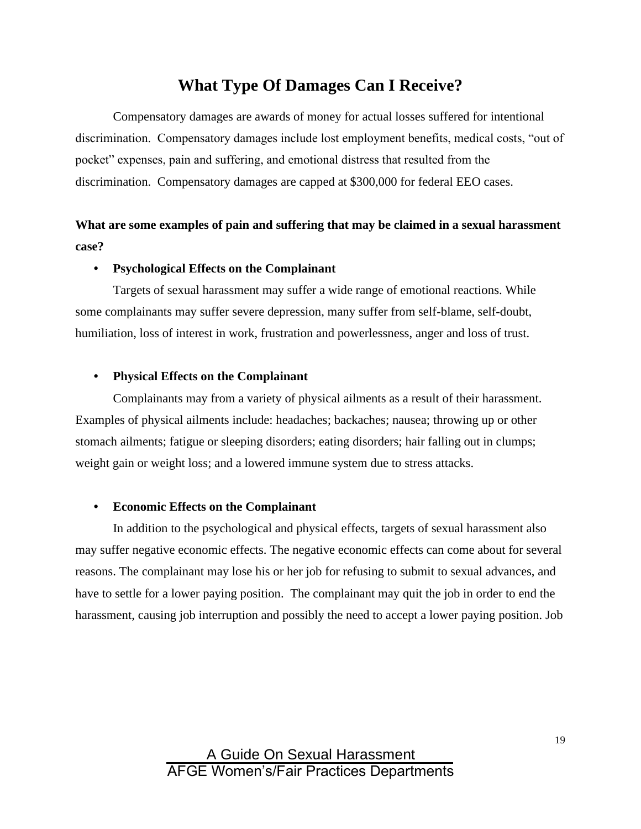### **What Type Of Damages Can I Receive?**

Compensatory damages are awards of money for actual losses suffered for intentional discrimination. Compensatory damages include lost employment benefits, medical costs, "out of pocket" expenses, pain and suffering, and emotional distress that resulted from the discrimination. Compensatory damages are capped at \$300,000 for federal EEO cases.

### **What are some examples of pain and suffering that may be claimed in a sexual harassment case?**

#### • **Psychological Effects on the Complainant**

Targets of sexual harassment may suffer a wide range of emotional reactions. While some complainants may suffer severe depression, many suffer from self-blame, self-doubt, humiliation, loss of interest in work, frustration and powerlessness, anger and loss of trust.

#### • **Physical Effects on the Complainant**

Complainants may from a variety of physical ailments as a result of their harassment. Examples of physical ailments include: headaches; backaches; nausea; throwing up or other stomach ailments; fatigue or sleeping disorders; eating disorders; hair falling out in clumps; weight gain or weight loss; and a lowered immune system due to stress attacks.

#### • **Economic Effects on the Complainant**

In addition to the psychological and physical effects, targets of sexual harassment also may suffer negative economic effects. The negative economic effects can come about for several reasons. The complainant may lose his or her job for refusing to submit to sexual advances, and have to settle for a lower paying position. The complainant may quit the job in order to end the harassment, causing job interruption and possibly the need to accept a lower paying position. Job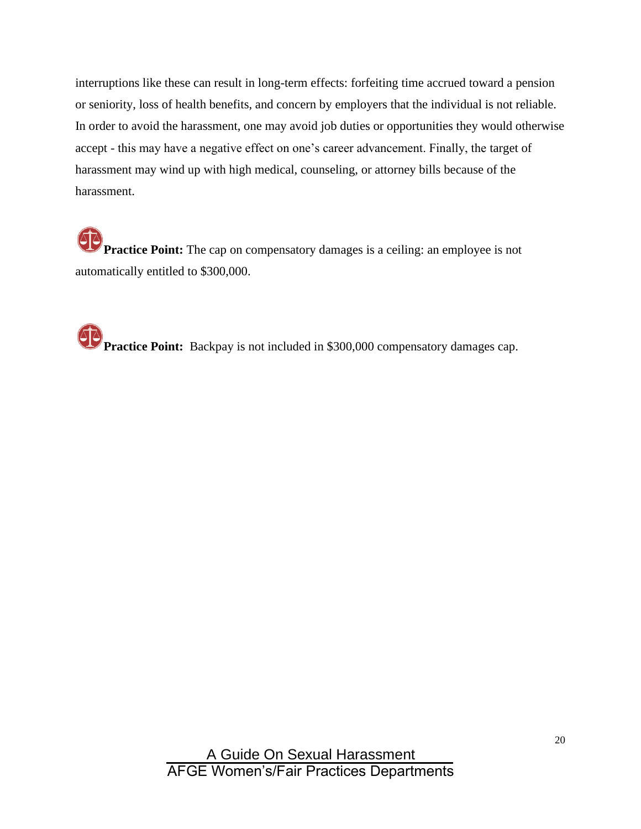interruptions like these can result in long-term effects: forfeiting time accrued toward a pension or seniority, loss of health benefits, and concern by employers that the individual is not reliable. In order to avoid the harassment, one may avoid job duties or opportunities they would otherwise accept - this may have a negative effect on one's career advancement. Finally, the target of harassment may wind up with high medical, counseling, or attorney bills because of the harassment.

**Practice Point:** The cap on compensatory damages is a ceiling: an employee is not automatically entitled to \$300,000.

**Practice Point:** Backpay is not included in \$300,000 compensatory damages cap.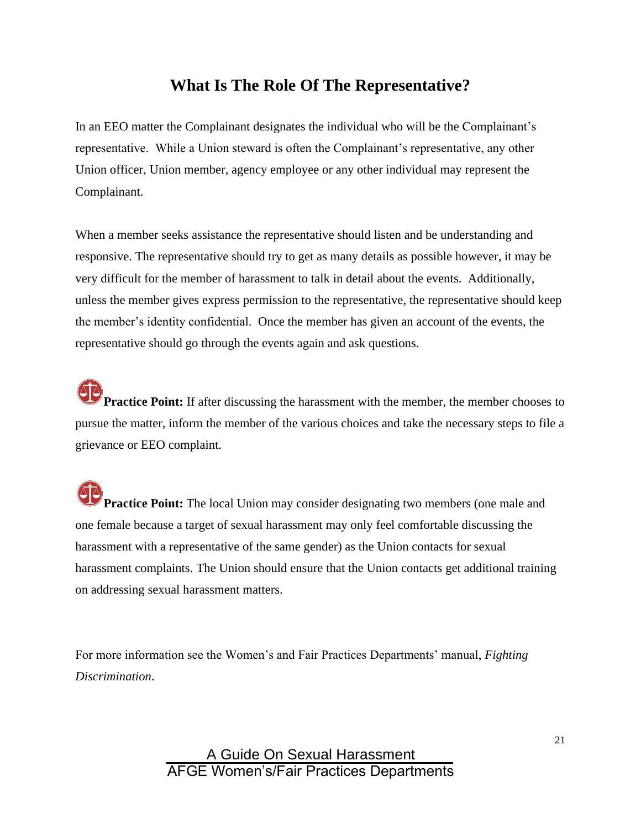### **What Is The Role Of The Representative?**

In an EEO matter the Complainant designates the individual who will be the Complainant's representative. While a Union steward is often the Complainant's representative, any other Union officer, Union member, agency employee or any other individual may represent the Complainant.

When a member seeks assistance the representative should listen and be understanding and responsive. The representative should try to get as many details as possible however, it may be very difficult for the member of harassment to talk in detail about the events. Additionally, unless the member gives express permission to the representative, the representative should keep the member's identity confidential. Once the member has given an account of the events, the representative should go through the events again and ask questions.

**Practice Point:** If after discussing the harassment with the member, the member chooses to pursue the matter, inform the member of the various choices and take the necessary steps to file a grievance or EEO complaint.

**Practice Point:** The local Union may consider designating two members (one male and one female because a target of sexual harassment may only feel comfortable discussing the harassment with a representative of the same gender) as the Union contacts for sexual harassment complaints. The Union should ensure that the Union contacts get additional training on addressing sexual harassment matters.

For more information see the Women's and Fair Practices Departments' manual, *Fighting Discrimination*.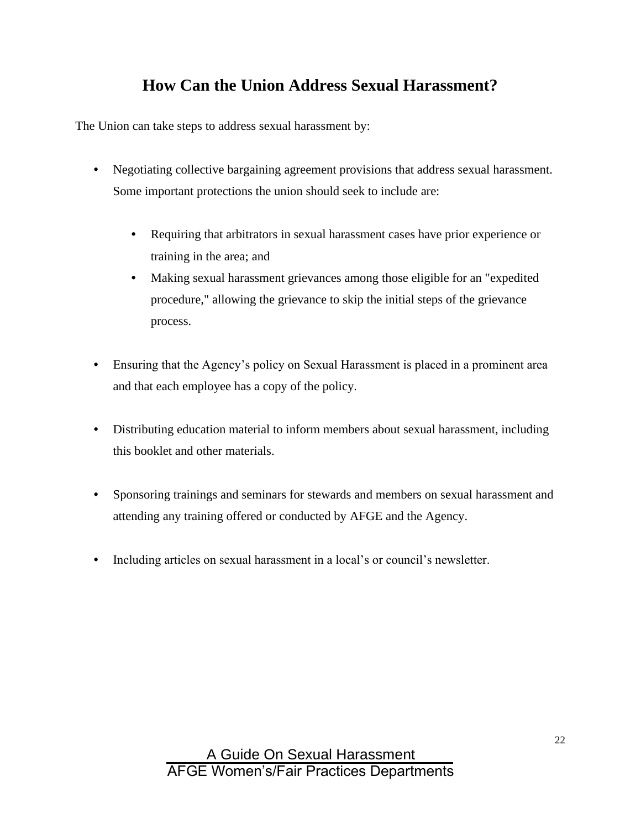# **How Can the Union Address Sexual Harassment?**

The Union can take steps to address sexual harassment by:

- Negotiating collective bargaining agreement provisions that address sexual harassment. Some important protections the union should seek to include are:
	- Requiring that arbitrators in sexual harassment cases have prior experience or training in the area; and
	- Making sexual harassment grievances among those eligible for an "expedited procedure," allowing the grievance to skip the initial steps of the grievance process.
- Ensuring that the Agency's policy on Sexual Harassment is placed in a prominent area and that each employee has a copy of the policy.
- Distributing education material to inform members about sexual harassment, including this booklet and other materials.
- Sponsoring trainings and seminars for stewards and members on sexual harassment and attending any training offered or conducted by AFGE and the Agency.
- Including articles on sexual harassment in a local's or council's newsletter.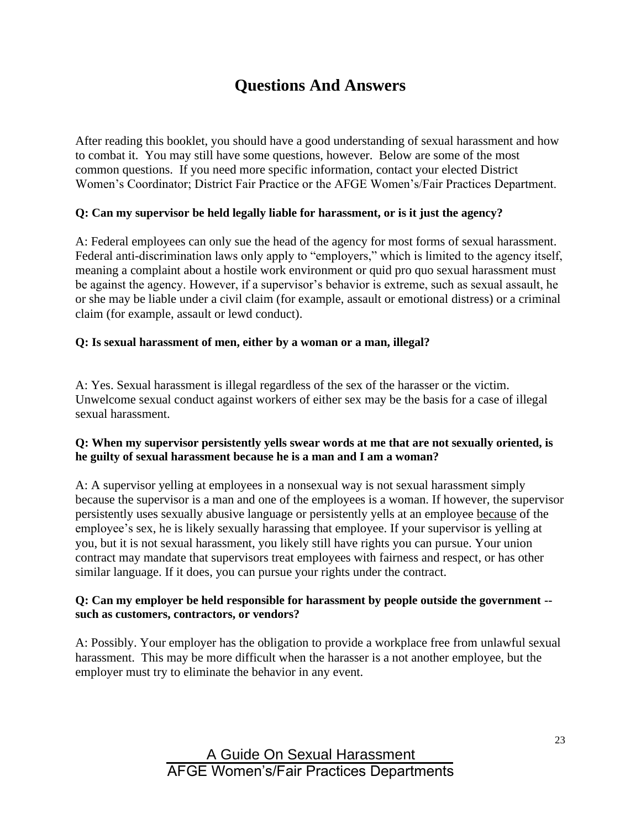# **Questions And Answers**

After reading this booklet, you should have a good understanding of sexual harassment and how to combat it. You may still have some questions, however. Below are some of the most common questions. If you need more specific information, contact your elected District Women's Coordinator; District Fair Practice or the AFGE Women's/Fair Practices Department.

### **Q: Can my supervisor be held legally liable for harassment, or is it just the agency?**

A: Federal employees can only sue the head of the agency for most forms of sexual harassment. Federal anti-discrimination laws only apply to "employers," which is limited to the agency itself, meaning a complaint about a hostile work environment or quid pro quo sexual harassment must be against the agency. However, if a supervisor's behavior is extreme, such as sexual assault, he or she may be liable under a civil claim (for example, assault or emotional distress) or a criminal claim (for example, assault or lewd conduct).

#### **Q: Is sexual harassment of men, either by a woman or a man, illegal?**

A: Yes. Sexual harassment is illegal regardless of the sex of the harasser or the victim. Unwelcome sexual conduct against workers of either sex may be the basis for a case of illegal sexual harassment.

#### **Q: When my supervisor persistently yells swear words at me that are not sexually oriented, is he guilty of sexual harassment because he is a man and I am a woman?**

A: A supervisor yelling at employees in a nonsexual way is not sexual harassment simply because the supervisor is a man and one of the employees is a woman. If however, the supervisor persistently uses sexually abusive language or persistently yells at an employee because of the employee's sex, he is likely sexually harassing that employee. If your supervisor is yelling at you, but it is not sexual harassment, you likely still have rights you can pursue. Your union contract may mandate that supervisors treat employees with fairness and respect, or has other similar language. If it does, you can pursue your rights under the contract.

#### **Q: Can my employer be held responsible for harassment by people outside the government - such as customers, contractors, or vendors?**

A: Possibly. Your employer has the obligation to provide a workplace free from unlawful sexual harassment. This may be more difficult when the harasser is a not another employee, but the employer must try to eliminate the behavior in any event.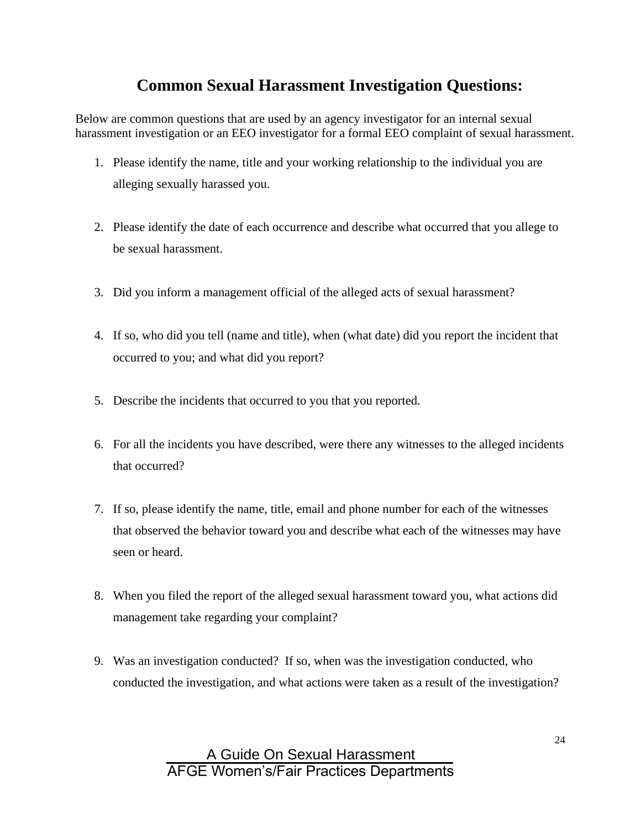# **Common Sexual Harassment Investigation Questions:**

Below are common questions that are used by an agency investigator for an internal sexual harassment investigation or an EEO investigator for a formal EEO complaint of sexual harassment.

- 1. Please identify the name, title and your working relationship to the individual you are alleging sexually harassed you.
- 2. Please identify the date of each occurrence and describe what occurred that you allege to be sexual harassment.
- 3. Did you inform a management official of the alleged acts of sexual harassment?
- 4. If so, who did you tell (name and title), when (what date) did you report the incident that occurred to you; and what did you report?
- 5. Describe the incidents that occurred to you that you reported.
- 6. For all the incidents you have described, were there any witnesses to the alleged incidents that occurred?
- 7. If so, please identify the name, title, email and phone number for each of the witnesses that observed the behavior toward you and describe what each of the witnesses may have seen or heard.
- 8. When you filed the report of the alleged sexual harassment toward you, what actions did management take regarding your complaint?
- 9. Was an investigation conducted? If so, when was the investigation conducted, who conducted the investigation, and what actions were taken as a result of the investigation?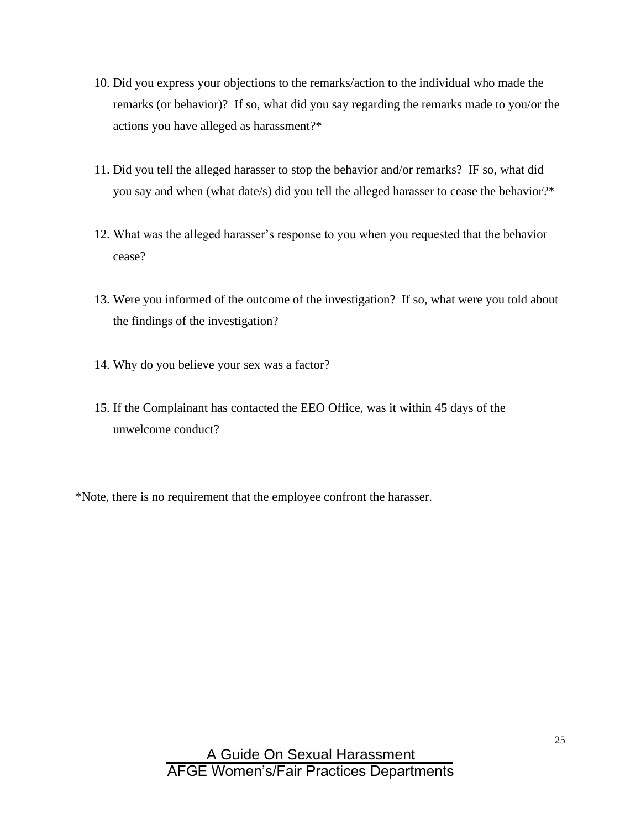- 10. Did you express your objections to the remarks/action to the individual who made the remarks (or behavior)? If so, what did you say regarding the remarks made to you/or the actions you have alleged as harassment?\*
- 11. Did you tell the alleged harasser to stop the behavior and/or remarks? IF so, what did you say and when (what date/s) did you tell the alleged harasser to cease the behavior?\*
- 12. What was the alleged harasser's response to you when you requested that the behavior cease?
- 13. Were you informed of the outcome of the investigation? If so, what were you told about the findings of the investigation?
- 14. Why do you believe your sex was a factor?
- 15. If the Complainant has contacted the EEO Office, was it within 45 days of the unwelcome conduct?

\*Note, there is no requirement that the employee confront the harasser.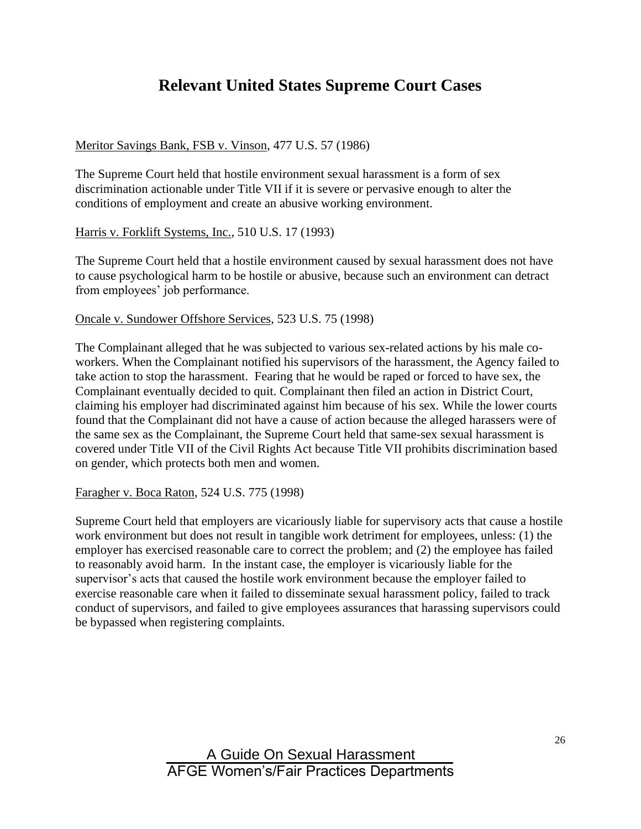# **Relevant United States Supreme Court Cases**

#### Meritor Savings Bank, FSB v. Vinson, 477 U.S. 57 (1986)

The Supreme Court held that hostile environment sexual harassment is a form of sex discrimination actionable under Title VII if it is severe or pervasive enough to alter the conditions of employment and create an abusive working environment.

Harris v. Forklift Systems, Inc., 510 U.S. 17 (1993)

The Supreme Court held that a hostile environment caused by sexual harassment does not have to cause psychological harm to be hostile or abusive, because such an environment can detract from employees' job performance.

#### Oncale v. Sundower Offshore Services, 523 U.S. 75 (1998)

The Complainant alleged that he was subjected to various sex-related actions by his male coworkers. When the Complainant notified his supervisors of the harassment, the Agency failed to take action to stop the harassment. Fearing that he would be raped or forced to have sex, the Complainant eventually decided to quit. Complainant then filed an action in District Court, claiming his employer had discriminated against him because of his sex. While the lower courts found that the Complainant did not have a cause of action because the alleged harassers were of the same sex as the Complainant, the Supreme Court held that same-sex sexual harassment is covered under Title VII of the Civil Rights Act because Title VII prohibits discrimination based on gender, which protects both men and women.

Faragher v. Boca Raton, 524 U.S. 775 (1998)

Supreme Court held that employers are vicariously liable for supervisory acts that cause a hostile work environment but does not result in tangible work detriment for employees, unless: (1) the employer has exercised reasonable care to correct the problem; and (2) the employee has failed to reasonably avoid harm. In the instant case, the employer is vicariously liable for the supervisor's acts that caused the hostile work environment because the employer failed to exercise reasonable care when it failed to disseminate sexual harassment policy, failed to track conduct of supervisors, and failed to give employees assurances that harassing supervisors could be bypassed when registering complaints.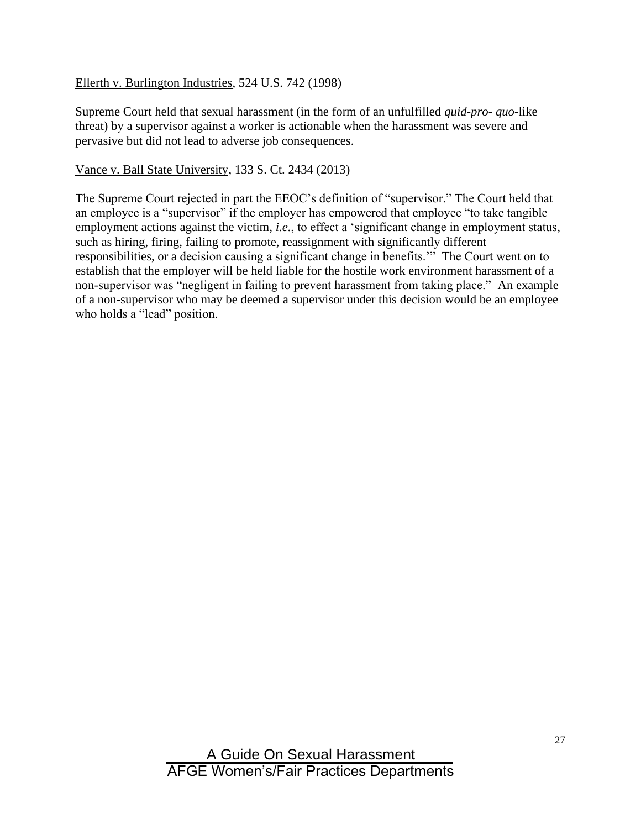#### Ellerth v. Burlington Industries, 524 U.S. 742 (1998)

Supreme Court held that sexual harassment (in the form of an unfulfilled *quid-pro- quo-*like threat) by a supervisor against a worker is actionable when the harassment was severe and pervasive but did not lead to adverse job consequences.

#### Vance v. Ball State University, 133 S. Ct. 2434 (2013)

The Supreme Court rejected in part the EEOC's definition of "supervisor." The Court held that an employee is a "supervisor" if the employer has empowered that employee "to take tangible employment actions against the victim, *i.e.*, to effect a 'significant change in employment status, such as hiring, firing, failing to promote, reassignment with significantly different responsibilities, or a decision causing a significant change in benefits.'" The Court went on to establish that the employer will be held liable for the hostile work environment harassment of a non-supervisor was "negligent in failing to prevent harassment from taking place." An example of a non-supervisor who may be deemed a supervisor under this decision would be an employee who holds a "lead" position.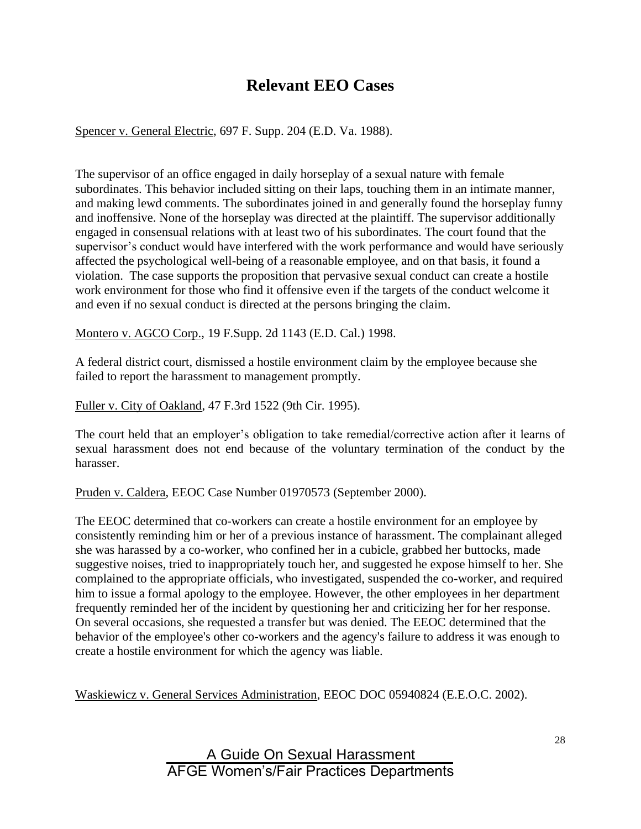# **Relevant EEO Cases**

Spencer v. General Electric, 697 F. Supp. 204 (E.D. Va. 1988).

The supervisor of an office engaged in daily horseplay of a sexual nature with female subordinates. This behavior included sitting on their laps, touching them in an intimate manner, and making lewd comments. The subordinates joined in and generally found the horseplay funny and inoffensive. None of the horseplay was directed at the plaintiff. The supervisor additionally engaged in consensual relations with at least two of his subordinates. The court found that the supervisor's conduct would have interfered with the work performance and would have seriously affected the psychological well-being of a reasonable employee, and on that basis, it found a violation. The case supports the proposition that pervasive sexual conduct can create a hostile work environment for those who find it offensive even if the targets of the conduct welcome it and even if no sexual conduct is directed at the persons bringing the claim.

Montero v. AGCO Corp., 19 F.Supp. 2d 1143 (E.D. Cal.) 1998.

A federal district court, dismissed a hostile environment claim by the employee because she failed to report the harassment to management promptly.

Fuller v. City of Oakland, 47 F.3rd 1522 (9th Cir. 1995).

The court held that an employer's obligation to take remedial/corrective action after it learns of sexual harassment does not end because of the voluntary termination of the conduct by the harasser.

Pruden v. Caldera, EEOC Case Number 01970573 (September 2000).

The EEOC determined that co-workers can create a hostile environment for an employee by consistently reminding him or her of a previous instance of harassment. The complainant alleged she was harassed by a co-worker, who confined her in a cubicle, grabbed her buttocks, made suggestive noises, tried to inappropriately touch her, and suggested he expose himself to her. She complained to the appropriate officials, who investigated, suspended the co-worker, and required him to issue a formal apology to the employee. However, the other employees in her department frequently reminded her of the incident by questioning her and criticizing her for her response. On several occasions, she requested a transfer but was denied. The EEOC determined that the behavior of the employee's other co-workers and the agency's failure to address it was enough to create a hostile environment for which the agency was liable.

Waskiewicz v. General Services Administration, EEOC DOC 05940824 (E.E.O.C. 2002).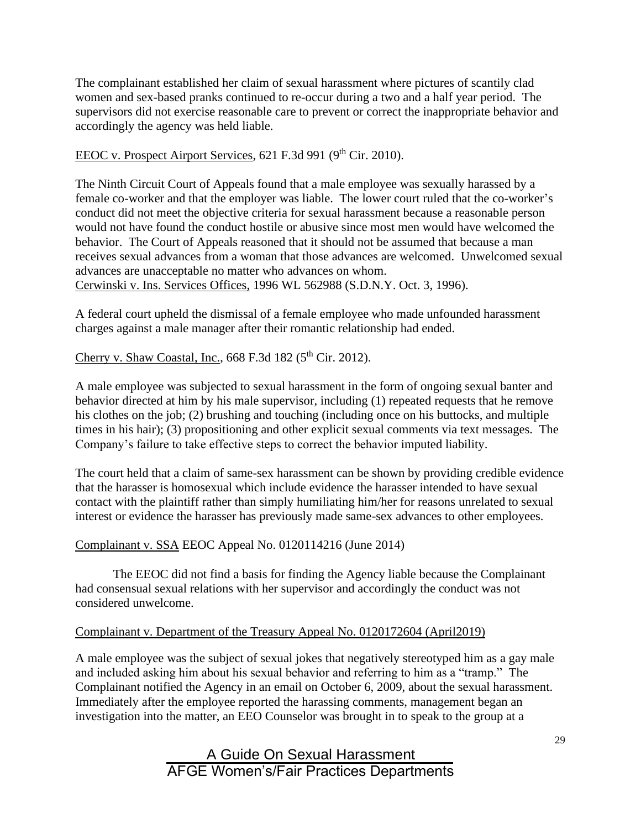The complainant established her claim of sexual harassment where pictures of scantily clad women and sex-based pranks continued to re-occur during a two and a half year period. The supervisors did not exercise reasonable care to prevent or correct the inappropriate behavior and accordingly the agency was held liable.

### EEOC v. Prospect Airport Services, 621 F.3d 991 ( $9<sup>th</sup>$  Cir. 2010).

The Ninth Circuit Court of Appeals found that a male employee was sexually harassed by a female co-worker and that the employer was liable. The lower court ruled that the co-worker's conduct did not meet the objective criteria for sexual harassment because a reasonable person would not have found the conduct hostile or abusive since most men would have welcomed the behavior. The Court of Appeals reasoned that it should not be assumed that because a man receives sexual advances from a woman that those advances are welcomed. Unwelcomed sexual advances are unacceptable no matter who advances on whom. Cerwinski v. Ins. Services Offices, 1996 WL 562988 (S.D.N.Y. Oct. 3, 1996).

A federal court upheld the dismissal of a female employee who made unfounded harassment charges against a male manager after their romantic relationship had ended.

### Cherry v. Shaw Coastal, Inc., 668 F.3d 182 ( $5<sup>th</sup>$  Cir. 2012).

A male employee was subjected to sexual harassment in the form of ongoing sexual banter and behavior directed at him by his male supervisor, including (1) repeated requests that he remove his clothes on the job; (2) brushing and touching (including once on his buttocks, and multiple times in his hair); (3) propositioning and other explicit sexual comments via text messages. The Company's failure to take effective steps to correct the behavior imputed liability.

The court held that a claim of same-sex harassment can be shown by providing credible evidence that the harasser is homosexual which include evidence the harasser intended to have sexual contact with the plaintiff rather than simply humiliating him/her for reasons unrelated to sexual interest or evidence the harasser has previously made same-sex advances to other employees.

#### Complainant v. SSA EEOC Appeal No. 0120114216 (June 2014)

The EEOC did not find a basis for finding the Agency liable because the Complainant had consensual sexual relations with her supervisor and accordingly the conduct was not considered unwelcome.

#### Complainant v. Department of the Treasury Appeal No. 0120172604 (April2019)

A male employee was the subject of sexual jokes that negatively stereotyped him as a gay male and included asking him about his sexual behavior and referring to him as a "tramp." The Complainant notified the Agency in an email on October 6, 2009, about the sexual harassment. Immediately after the employee reported the harassing comments, management began an investigation into the matter, an EEO Counselor was brought in to speak to the group at a